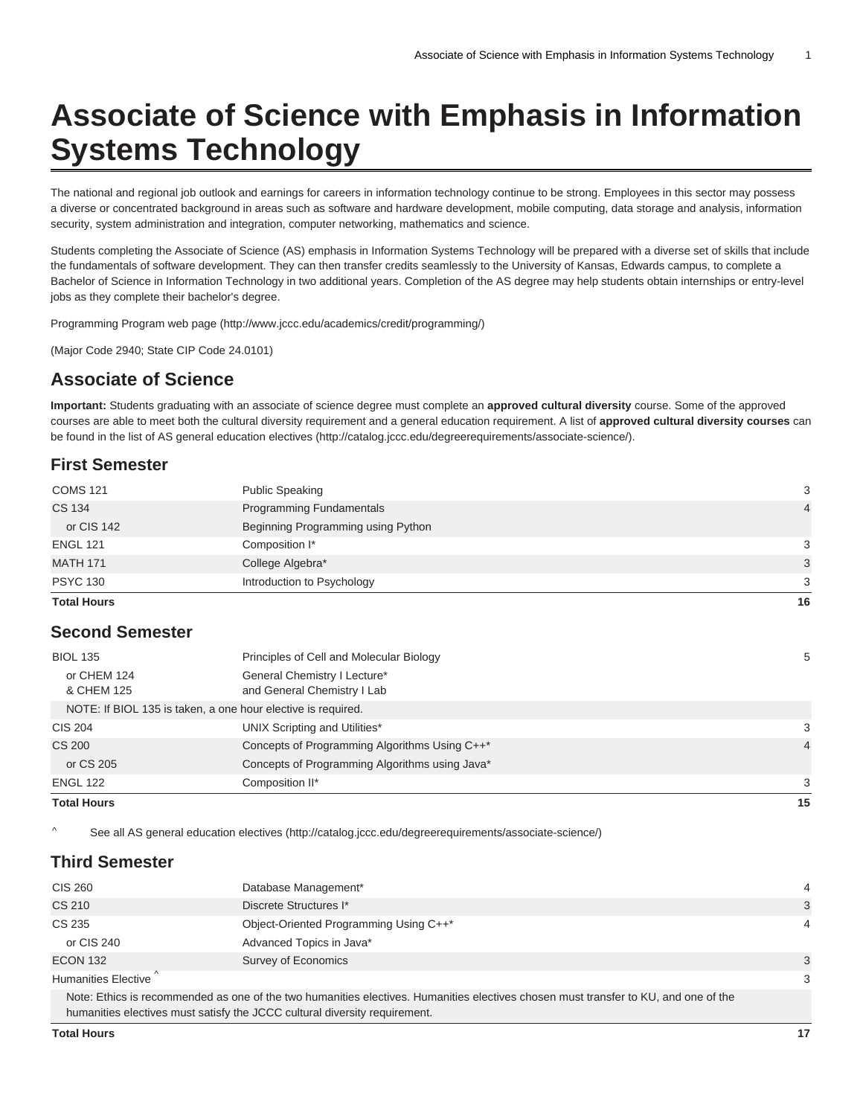# **Associate of Science with Emphasis in Information Systems Technology**

The national and regional job outlook and earnings for careers in information technology continue to be strong. Employees in this sector may possess a diverse or concentrated background in areas such as software and hardware development, mobile computing, data storage and analysis, information security, system administration and integration, computer networking, mathematics and science.

Students completing the Associate of Science (AS) emphasis in Information Systems Technology will be prepared with a diverse set of skills that include the fundamentals of software development. They can then transfer credits seamlessly to the University of Kansas, Edwards campus, to complete a Bachelor of Science in Information Technology in two additional years. Completion of the AS degree may help students obtain internships or entry-level jobs as they complete their bachelor's degree.

[Programming Program web page](http://www.jccc.edu/academics/credit/programming/) (<http://www.jccc.edu/academics/credit/programming/>)

(Major Code 2940; State CIP Code 24.0101)

# **Associate of Science**

**Important:** Students graduating with an associate of science degree must complete an **approved cultural diversity** course. Some of the approved courses are able to meet both the cultural diversity requirement and a general education requirement. A list of **approved cultural diversity courses** can be found in the [list of AS general education electives](http://catalog.jccc.edu/degreerequirements/associate-science/) ([http://catalog.jccc.edu/degreerequirements/associate-science/\)](http://catalog.jccc.edu/degreerequirements/associate-science/).

### **First Semester**

| <b>Total Hours</b> |                                    | 16             |
|--------------------|------------------------------------|----------------|
| <b>PSYC 130</b>    | Introduction to Psychology         | 3              |
| <b>MATH 171</b>    | College Algebra*                   | 3              |
| <b>ENGL 121</b>    | Composition I*                     | 3              |
| or CIS 142         | Beginning Programming using Python |                |
| <b>CS 134</b>      | Programming Fundamentals           | $\overline{4}$ |
| <b>COMS 121</b>    | <b>Public Speaking</b>             | 3              |
|                    |                                    |                |

## **Second Semester**

| <b>Total Hours</b>        |                                                              | 15 |
|---------------------------|--------------------------------------------------------------|----|
| <b>ENGL 122</b>           | Composition II*                                              | 3  |
| or CS 205                 | Concepts of Programming Algorithms using Java*               |    |
| <b>CS 200</b>             | Concepts of Programming Algorithms Using C++*                | 4  |
| <b>CIS 204</b>            | UNIX Scripting and Utilities*                                | 3  |
|                           | NOTE: If BIOL 135 is taken, a one hour elective is required. |    |
| or CHEM 124<br>& CHEM 125 | General Chemistry I Lecture*<br>and General Chemistry I Lab  |    |
| <b>BIOL 135</b>           | Principles of Cell and Molecular Biology                     | 5  |
|                           |                                                              |    |

[See all AS general education electives \(http://catalog.jccc.edu/degreerequirements/associate-science/\)](http://catalog.jccc.edu/degreerequirements/associate-science/)

### **Third Semester**

| <b>CIS 260</b>             | Database Management*                                                                                                               | 4 |
|----------------------------|------------------------------------------------------------------------------------------------------------------------------------|---|
| <b>CS 210</b>              | Discrete Structures I*                                                                                                             | 3 |
| CS 235                     | Object-Oriented Programming Using C++*                                                                                             | 4 |
| or CIS 240                 | Advanced Topics in Java*                                                                                                           |   |
| <b>ECON 132</b>            | Survey of Economics                                                                                                                | 3 |
| <b>Humanities Elective</b> |                                                                                                                                    | 3 |
|                            | Note: Ethics is recommended as one of the two humanities electives. Humanities electives chosen must transfer to KU and one of the |   |

Note: Ethics is recommended as one of the two humanities electives. Humanities electives chosen must transfer to KU, and one of the humanities electives must satisfy the JCCC cultural diversity requirement.